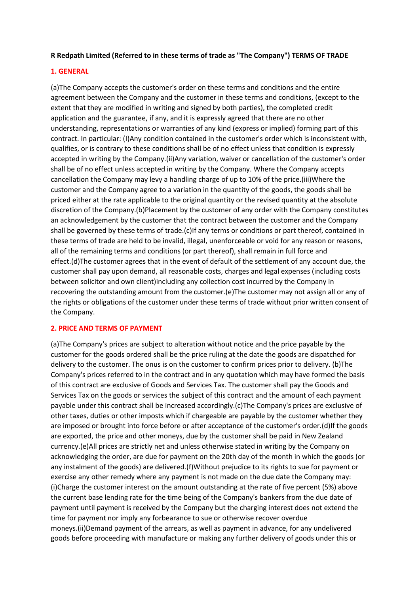## **R Redpath Limited (Referred to in these terms of trade as "The Company") TERMS OF TRADE**

## **1. GENERAL**

(a)The Company accepts the customer's order on these terms and conditions and the entire agreement between the Company and the customer in these terms and conditions, (except to the extent that they are modified in writing and signed by both parties), the completed credit application and the guarantee, if any, and it is expressly agreed that there are no other understanding, representations or warranties of any kind (express or implied) forming part of this contract. In particular: (I)Any condition contained in the customer's order which is inconsistent with, qualifies, or is contrary to these conditions shall be of no effect unless that condition is expressly accepted in writing by the Company.(ii)Any variation, waiver or cancellation of the customer's order shall be of no effect unless accepted in writing by the Company. Where the Company accepts cancellation the Company may levy a handling charge of up to 10% of the price.(iii)Where the customer and the Company agree to a variation in the quantity of the goods, the goods shall be priced either at the rate applicable to the original quantity or the revised quantity at the absolute discretion of the Company.(b)Placement by the customer of any order with the Company constitutes an acknowledgement by the customer that the contract between the customer and the Company shall be governed by these terms of trade.(c)If any terms or conditions or part thereof, contained in these terms of trade are held to be invalid, illegal, unenforceable or void for any reason or reasons, all of the remaining terms and conditions (or part thereof), shall remain in full force and effect.(d)The customer agrees that in the event of default of the settlement of any account due, the customer shall pay upon demand, all reasonable costs, charges and legal expenses (including costs between solicitor and own client)including any collection cost incurred by the Company in recovering the outstanding amount from the customer.(e)The customer may not assign all or any of the rights or obligations of the customer under these terms of trade without prior written consent of the Company.

### **2. PRICE AND TERMS OF PAYMENT**

(a)The Company's prices are subject to alteration without notice and the price payable by the customer for the goods ordered shall be the price ruling at the date the goods are dispatched for delivery to the customer. The onus is on the customer to confirm prices prior to delivery. (b)The Company's prices referred to in the contract and in any quotation which may have formed the basis of this contract are exclusive of Goods and Services Tax. The customer shall pay the Goods and Services Tax on the goods or services the subject of this contract and the amount of each payment payable under this contract shall be increased accordingly.(c)The Company's prices are exclusive of other taxes, duties or other imposts which if chargeable are payable by the customer whether they are imposed or brought into force before or after acceptance of the customer's order.(d)If the goods are exported, the price and other moneys, due by the customer shall be paid in New Zealand currency.(e)All prices are strictly net and unless otherwise stated in writing by the Company on acknowledging the order, are due for payment on the 20th day of the month in which the goods (or any instalment of the goods) are delivered.(f)Without prejudice to its rights to sue for payment or exercise any other remedy where any payment is not made on the due date the Company may: (i)Charge the customer interest on the amount outstanding at the rate of five percent (5%) above the current base lending rate for the time being of the Company's bankers from the due date of payment until payment is received by the Company but the charging interest does not extend the time for payment nor imply any forbearance to sue or otherwise recover overdue moneys.(ii)Demand payment of the arrears, as well as payment in advance, for any undelivered goods before proceeding with manufacture or making any further delivery of goods under this or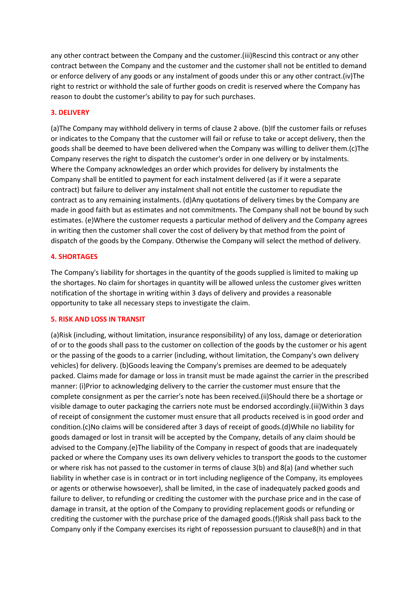any other contract between the Company and the customer.(iii)Rescind this contract or any other contract between the Company and the customer and the customer shall not be entitled to demand or enforce delivery of any goods or any instalment of goods under this or any other contract.(iv)The right to restrict or withhold the sale of further goods on credit is reserved where the Company has reason to doubt the customer's ability to pay for such purchases.

## **3. DELIVERY**

(a)The Company may withhold delivery in terms of clause 2 above. (b)If the customer fails or refuses or indicates to the Company that the customer will fail or refuse to take or accept delivery, then the goods shall be deemed to have been delivered when the Company was willing to deliver them.(c)The Company reserves the right to dispatch the customer's order in one delivery or by instalments. Where the Company acknowledges an order which provides for delivery by instalments the Company shall be entitled to payment for each instalment delivered (as if it were a separate contract) but failure to deliver any instalment shall not entitle the customer to repudiate the contract as to any remaining instalments. (d)Any quotations of delivery times by the Company are made in good faith but as estimates and not commitments. The Company shall not be bound by such estimates. (e)Where the customer requests a particular method of delivery and the Company agrees in writing then the customer shall cover the cost of delivery by that method from the point of dispatch of the goods by the Company. Otherwise the Company will select the method of delivery.

#### **4. SHORTAGES**

The Company's liability for shortages in the quantity of the goods supplied is limited to making up the shortages. No claim for shortages in quantity will be allowed unless the customer gives written notification of the shortage in writing within 3 days of delivery and provides a reasonable opportunity to take all necessary steps to investigate the claim.

#### **5. RISK AND LOSS IN TRANSIT**

(a)Risk (including, without limitation, insurance responsibility) of any loss, damage or deterioration of or to the goods shall pass to the customer on collection of the goods by the customer or his agent or the passing of the goods to a carrier (including, without limitation, the Company's own delivery vehicles) for delivery. (b)Goods leaving the Company's premises are deemed to be adequately packed. Claims made for damage or loss in transit must be made against the carrier in the prescribed manner: (i)Prior to acknowledging delivery to the carrier the customer must ensure that the complete consignment as per the carrier's note has been received.(ii)Should there be a shortage or visible damage to outer packaging the carriers note must be endorsed accordingly.(iii)Within 3 days of receipt of consignment the customer must ensure that all products received is in good order and condition.(c)No claims will be considered after 3 days of receipt of goods.(d)While no liability for goods damaged or lost in transit will be accepted by the Company, details of any claim should be advised to the Company.(e)The liability of the Company in respect of goods that are inadequately packed or where the Company uses its own delivery vehicles to transport the goods to the customer or where risk has not passed to the customer in terms of clause 3(b) and 8(a) (and whether such liability in whether case is in contract or in tort including negligence of the Company, its employees or agents or otherwise howsoever), shall be limited, in the case of inadequately packed goods and failure to deliver, to refunding or crediting the customer with the purchase price and in the case of damage in transit, at the option of the Company to providing replacement goods or refunding or crediting the customer with the purchase price of the damaged goods.(f)Risk shall pass back to the Company only if the Company exercises its right of repossession pursuant to clause8(h) and in that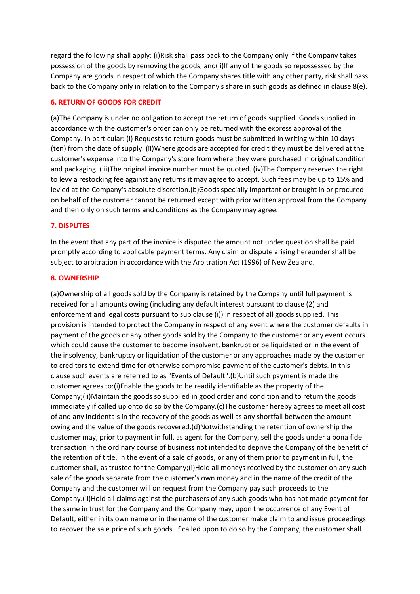regard the following shall apply: (i)Risk shall pass back to the Company only if the Company takes possession of the goods by removing the goods; and(ii)If any of the goods so repossessed by the Company are goods in respect of which the Company shares title with any other party, risk shall pass back to the Company only in relation to the Company's share in such goods as defined in clause 8(e).

#### **6. RETURN OF GOODS FOR CREDIT**

(a)The Company is under no obligation to accept the return of goods supplied. Goods supplied in accordance with the customer's order can only be returned with the express approval of the Company. In particular: (i) Requests to return goods must be submitted in writing within 10 days (ten) from the date of supply. (ii)Where goods are accepted for credit they must be delivered at the customer's expense into the Company's store from where they were purchased in original condition and packaging. (iii)The original invoice number must be quoted. (iv)The Company reserves the right to levy a restocking fee against any returns it may agree to accept. Such fees may be up to 15% and levied at the Company's absolute discretion.(b)Goods specially important or brought in or procured on behalf of the customer cannot be returned except with prior written approval from the Company and then only on such terms and conditions as the Company may agree.

#### **7. DISPUTES**

In the event that any part of the invoice is disputed the amount not under question shall be paid promptly according to applicable payment terms. Any claim or dispute arising hereunder shall be subject to arbitration in accordance with the Arbitration Act (1996) of New Zealand.

#### **8. OWNERSHIP**

(a)Ownership of all goods sold by the Company is retained by the Company until full payment is received for all amounts owing (including any default interest pursuant to clause (2) and enforcement and legal costs pursuant to sub clause (i)) in respect of all goods supplied. This provision is intended to protect the Company in respect of any event where the customer defaults in payment of the goods or any other goods sold by the Company to the customer or any event occurs which could cause the customer to become insolvent, bankrupt or be liquidated or in the event of the insolvency, bankruptcy or liquidation of the customer or any approaches made by the customer to creditors to extend time for otherwise compromise payment of the customer's debts. In this clause such events are referred to as "Events of Default".(b)Until such payment is made the customer agrees to:(i)Enable the goods to be readily identifiable as the property of the Company;(ii)Maintain the goods so supplied in good order and condition and to return the goods immediately if called up onto do so by the Company.(c)The customer hereby agrees to meet all cost of and any incidentals in the recovery of the goods as well as any shortfall between the amount owing and the value of the goods recovered.(d)Notwithstanding the retention of ownership the customer may, prior to payment in full, as agent for the Company, sell the goods under a bona fide transaction in the ordinary course of business not intended to deprive the Company of the benefit of the retention of title. In the event of a sale of goods, or any of them prior to payment in full, the customer shall, as trustee for the Company;(i)Hold all moneys received by the customer on any such sale of the goods separate from the customer's own money and in the name of the credit of the Company and the customer will on request from the Company pay such proceeds to the Company.(ii)Hold all claims against the purchasers of any such goods who has not made payment for the same in trust for the Company and the Company may, upon the occurrence of any Event of Default, either in its own name or in the name of the customer make claim to and issue proceedings to recover the sale price of such goods. If called upon to do so by the Company, the customer shall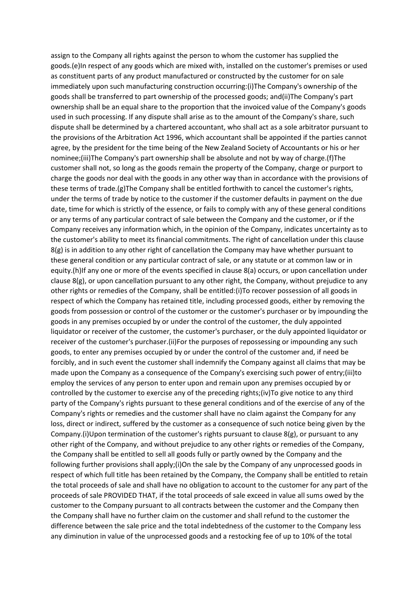assign to the Company all rights against the person to whom the customer has supplied the goods.(e)In respect of any goods which are mixed with, installed on the customer's premises or used as constituent parts of any product manufactured or constructed by the customer for on sale immediately upon such manufacturing construction occurring:(i)The Company's ownership of the goods shall be transferred to part ownership of the processed goods; and(ii)The Company's part ownership shall be an equal share to the proportion that the invoiced value of the Company's goods used in such processing. If any dispute shall arise as to the amount of the Company's share, such dispute shall be determined by a chartered accountant, who shall act as a sole arbitrator pursuant to the provisions of the Arbitration Act 1996, which accountant shall be appointed if the parties cannot agree, by the president for the time being of the New Zealand Society of Accountants or his or her nominee;(iii)The Company's part ownership shall be absolute and not by way of charge.(f)The customer shall not, so long as the goods remain the property of the Company, charge or purport to charge the goods nor deal with the goods in any other way than in accordance with the provisions of these terms of trade.(g)The Company shall be entitled forthwith to cancel the customer's rights, under the terms of trade by notice to the customer if the customer defaults in payment on the due date, time for which is strictly of the essence, or fails to comply with any of these general conditions or any terms of any particular contract of sale between the Company and the customer, or if the Company receives any information which, in the opinion of the Company, indicates uncertainty as to the customer's ability to meet its financial commitments. The right of cancellation under this clause  $8(g)$  is in addition to any other right of cancellation the Company may have whether pursuant to these general condition or any particular contract of sale, or any statute or at common law or in equity.(h)If any one or more of the events specified in clause 8(a) occurs, or upon cancellation under clause 8(g), or upon cancellation pursuant to any other right, the Company, without prejudice to any other rights or remedies of the Company, shall be entitled:(i)To recover possession of all goods in respect of which the Company has retained title, including processed goods, either by removing the goods from possession or control of the customer or the customer's purchaser or by impounding the goods in any premises occupied by or under the control of the customer, the duly appointed liquidator or receiver of the customer, the customer's purchaser, or the duly appointed liquidator or receiver of the customer's purchaser.(ii)For the purposes of repossessing or impounding any such goods, to enter any premises occupied by or under the control of the customer and, if need be forcibly, and in such event the customer shall indemnify the Company against all claims that may be made upon the Company as a consequence of the Company's exercising such power of entry;(iii)to employ the services of any person to enter upon and remain upon any premises occupied by or controlled by the customer to exercise any of the preceding rights;(iv)To give notice to any third party of the Company's rights pursuant to these general conditions and of the exercise of any of the Company's rights or remedies and the customer shall have no claim against the Company for any loss, direct or indirect, suffered by the customer as a consequence of such notice being given by the Company.(i)Upon termination of the customer's rights pursuant to clause  $8(g)$ , or pursuant to any other right of the Company, and without prejudice to any other rights or remedies of the Company, the Company shall be entitled to sell all goods fully or partly owned by the Company and the following further provisions shall apply;(i)On the sale by the Company of any unprocessed goods in respect of which full title has been retained by the Company, the Company shall be entitled to retain the total proceeds of sale and shall have no obligation to account to the customer for any part of the proceeds of sale PROVIDED THAT, if the total proceeds of sale exceed in value all sums owed by the customer to the Company pursuant to all contracts between the customer and the Company then the Company shall have no further claim on the customer and shall refund to the customer the difference between the sale price and the total indebtedness of the customer to the Company less any diminution in value of the unprocessed goods and a restocking fee of up to 10% of the total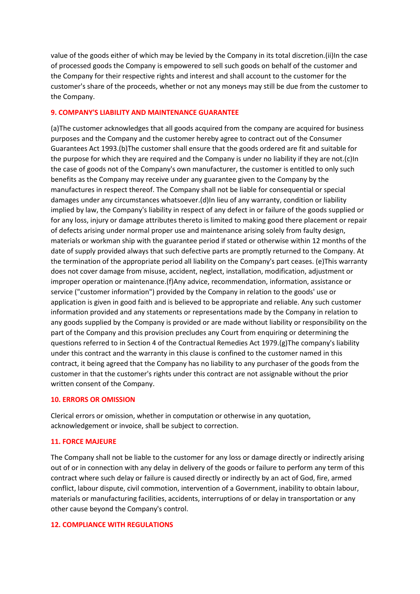value of the goods either of which may be levied by the Company in its total discretion.(ii)In the case of processed goods the Company is empowered to sell such goods on behalf of the customer and the Company for their respective rights and interest and shall account to the customer for the customer's share of the proceeds, whether or not any moneys may still be due from the customer to the Company.

## **9. COMPANY'S LIABILITY AND MAINTENANCE GUARANTEE**

(a)The customer acknowledges that all goods acquired from the company are acquired for business purposes and the Company and the customer hereby agree to contract out of the Consumer Guarantees Act 1993.(b)The customer shall ensure that the goods ordered are fit and suitable for the purpose for which they are required and the Company is under no liability if they are not.(c)In the case of goods not of the Company's own manufacturer, the customer is entitled to only such benefits as the Company may receive under any guarantee given to the Company by the manufactures in respect thereof. The Company shall not be liable for consequential or special damages under any circumstances whatsoever.(d)In lieu of any warranty, condition or liability implied by law, the Company's liability in respect of any defect in or failure of the goods supplied or for any loss, injury or damage attributes thereto is limited to making good there placement or repair of defects arising under normal proper use and maintenance arising solely from faulty design, materials or workman ship with the guarantee period if stated or otherwise within 12 months of the date of supply provided always that such defective parts are promptly returned to the Company. At the termination of the appropriate period all liability on the Company's part ceases. (e)This warranty does not cover damage from misuse, accident, neglect, installation, modification, adjustment or improper operation or maintenance.(f)Any advice, recommendation, information, assistance or service ("customer information") provided by the Company in relation to the goods' use or application is given in good faith and is believed to be appropriate and reliable. Any such customer information provided and any statements or representations made by the Company in relation to any goods supplied by the Company is provided or are made without liability or responsibility on the part of the Company and this provision precludes any Court from enquiring or determining the questions referred to in Section 4 of the Contractual Remedies Act 1979.(g)The company's liability under this contract and the warranty in this clause is confined to the customer named in this contract, it being agreed that the Company has no liability to any purchaser of the goods from the customer in that the customer's rights under this contract are not assignable without the prior written consent of the Company.

## **10. ERRORS OR OMISSION**

Clerical errors or omission, whether in computation or otherwise in any quotation, acknowledgement or invoice, shall be subject to correction.

## **11. FORCE MAJEURE**

The Company shall not be liable to the customer for any loss or damage directly or indirectly arising out of or in connection with any delay in delivery of the goods or failure to perform any term of this contract where such delay or failure is caused directly or indirectly by an act of God, fire, armed conflict, labour dispute, civil commotion, intervention of a Government, inability to obtain labour, materials or manufacturing facilities, accidents, interruptions of or delay in transportation or any other cause beyond the Company's control.

#### **12. COMPLIANCE WITH REGULATIONS**